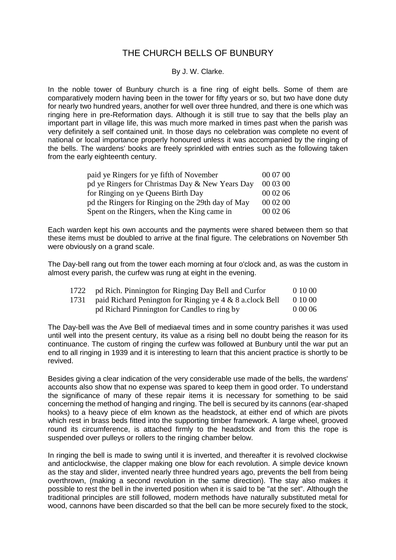# THE CHURCH BELLS OF BUNBURY

## By J. W. Clarke.

In the noble tower of Bunbury church is a fine ring of eight bells. Some of them are comparatively modern having been in the tower for fifty years or so, but two have done duty for nearly two hundred years, another for well over three hundred, and there is one which was ringing here in pre-Reformation days. Although it is still true to say that the bells play an important part in village life, this was much more marked in times past when the parish was very definitely a self contained unit. In those days no celebration was complete no event of national or local importance properly honoured unless it was accompanied by the ringing of the bells. The wardens' books are freely sprinkled with entries such as the following taken from the early eighteenth century.

| paid ye Ringers for ye fifth of November          | 00 07 00 |
|---------------------------------------------------|----------|
| pd ye Ringers for Christmas Day & New Years Day   | 00 03 00 |
| for Ringing on ye Queens Birth Day                | 00 02 06 |
| pd the Ringers for Ringing on the 29th day of May | 00 02 00 |
| Spent on the Ringers, when the King came in       | 00 02 06 |

Each warden kept his own accounts and the payments were shared between them so that these items must be doubled to arrive at the final figure. The celebrations on November 5th were obviously on a grand scale.

The Day-bell rang out from the tower each morning at four o'clock and, as was the custom in almost every parish, the curfew was rung at eight in the evening.

|      | 1722 pd Rich. Pinnington for Ringing Day Bell and Curfor | 0 10 00   |
|------|----------------------------------------------------------|-----------|
| 1731 | paid Richard Penington for Ringing ye 4 & 8 a.clock Bell | 0 10 00   |
|      | pd Richard Pinnington for Candles to ring by             | 0 0 0 0 6 |

The Day-bell was the Ave Bell of mediaeval times and in some country parishes it was used until well into the present century, its value as a rising bell no doubt being the reason for its continuance. The custom of ringing the curfew was followed at Bunbury until the war put an end to all ringing in 1939 and it is interesting to learn that this ancient practice is shortly to be revived.

Besides giving a clear indication of the very considerable use made of the bells, the wardens' accounts also show that no expense was spared to keep them in good order. To understand the significance of many of these repair items it is necessary for something to be said concerning the method of hanging and ringing. The bell is secured by its cannons (ear-shaped hooks) to a heavy piece of elm known as the headstock, at either end of which are pivots which rest in brass beds fitted into the supporting timber framework. A large wheel, grooved round its circumference, is attached firmly to the headstock and from this the rope is suspended over pulleys or rollers to the ringing chamber below.

In ringing the bell is made to swing until it is inverted, and thereafter it is revolved clockwise and anticlockwise, the clapper making one blow for each revolution. A simple device known as the stay and slider, invented nearly three hundred years ago, prevents the bell from being overthrown, (making a second revolution in the same direction). The stay also makes it possible to rest the bell in the inverted position when it is said to be "at the set". Although the traditional principles are still followed, modern methods have naturally substituted metal for wood, cannons have been discarded so that the bell can be more securely fixed to the stock,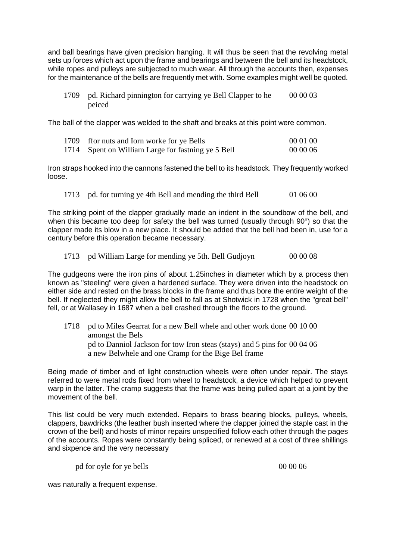and ball bearings have given precision hanging. It will thus be seen that the revolving metal sets up forces which act upon the frame and bearings and between the bell and its headstock, while ropes and pulleys are subjected to much wear. All through the accounts then, expenses for the maintenance of the bells are frequently met with. Some examples might well be quoted.

1709 pd. Richard pinnington for carrying ye Bell Clapper to he peiced 00 00 03

The ball of the clapper was welded to the shaft and breaks at this point were common.

| 1709 ffor nuts and Iorn worke for ye Bells         | 00 01 00 |
|----------------------------------------------------|----------|
| 1714 Spent on William Large for fastning ye 5 Bell | 00 00 06 |

Iron straps hooked into the cannons fastened the bell to its headstock. They frequently worked loose.

1713 pd. for turning ye 4th Bell and mending the third Bell 01 06 00

The striking point of the clapper gradually made an indent in the soundbow of the bell, and when this became too deep for safety the bell was turned (usually through 90°) so that the clapper made its blow in a new place. It should be added that the bell had been in, use for a century before this operation became necessary.

1713 pd William Large for mending ye 5th. Bell Gudjoyn 00 00 08

The gudgeons were the iron pins of about 1.25inches in diameter which by a process then known as "steeling" were given a hardened surface. They were driven into the headstock on either side and rested on the brass blocks in the frame and thus bore the entire weight of the bell. If neglected they might allow the bell to fall as at Shotwick in 1728 when the "great bell" fell, or at Wallasey in 1687 when a bell crashed through the floors to the ground.

1718 pd to Miles Gearrat for a new Bell whele and other work done 00 10 00 amongst the Bels pd to Danniol Jackson for tow Iron steas (stays) and 5 pins for 00 04 06 a new Belwhele and one Cramp for the Bige Bel frame

Being made of timber and of light construction wheels were often under repair. The stays referred to were metal rods fixed from wheel to headstock, a device which helped to prevent warp in the latter. The cramp suggests that the frame was being pulled apart at a joint by the movement of the bell.

This list could be very much extended. Repairs to brass bearing blocks, pulleys, wheels, clappers, bawdricks (the leather bush inserted where the clapper joined the staple cast in the crown of the bell) and hosts of minor repairs unspecified follow each other through the pages of the accounts. Ropes were constantly being spliced, or renewed at a cost of three shillings and sixpence and the very necessary

pd for oyle for ye bells 00 00 06

was naturally a frequent expense.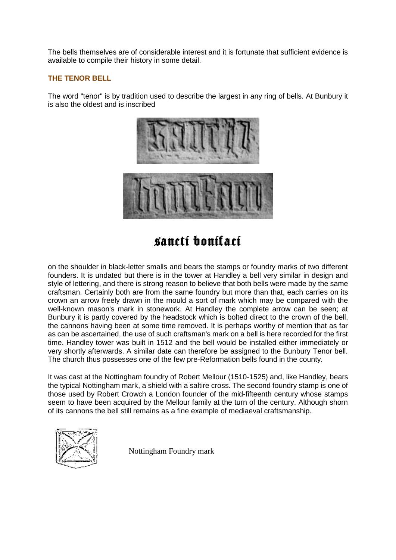The bells themselves are of considerable interest and it is fortunate that sufficient evidence is available to compile their history in some detail.

## **THE TENOR BELL**

The word "tenor" is by tradition used to describe the largest in any ring of bells. At Bunbury it is also the oldest and is inscribed



sancti bonitaci

on the shoulder in black-letter smalls and bears the stamps or foundry marks of two different founders. It is undated but there is in the tower at Handley a bell very similar in design and style of lettering, and there is strong reason to believe that both bells were made by the same craftsman. Certainly both are from the same foundry but more than that, each carries on its crown an arrow freely drawn in the mould a sort of mark which may be compared with the well-known mason's mark in stonework. At Handley the complete arrow can be seen; at Bunbury it is partly covered by the headstock which is bolted direct to the crown of the bell, the cannons having been at some time removed. It is perhaps worthy of mention that as far as can be ascertained, the use of such craftsman's mark on a bell is here recorded for the first time. Handley tower was built in 1512 and the bell would be installed either immediately or very shortly afterwards. A similar date can therefore be assigned to the Bunbury Tenor bell. The church thus possesses one of the few pre-Reformation bells found in the county.

It was cast at the Nottingham foundry of Robert Mellour (1510-1525) and, like Handley, bears the typical Nottingham mark, a shield with a saltire cross. The second foundry stamp is one of those used by Robert Crowch a London founder of the mid-fifteenth century whose stamps seem to have been acquired by the Mellour family at the turn of the century. Although shorn of its cannons the bell still remains as a fine example of mediaeval craftsmanship.



Nottingham Foundry mark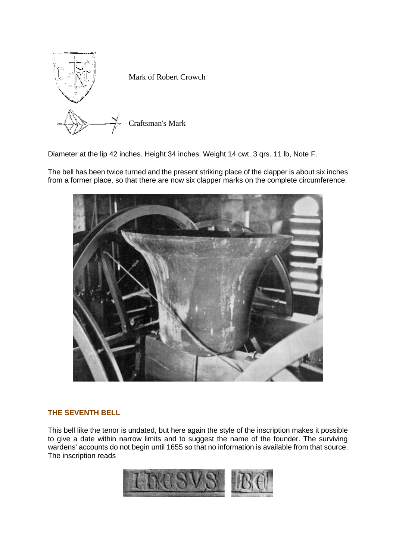

Diameter at the lip 42 inches. Height 34 inches. Weight 14 cwt. 3 qrs. 11 lb, Note F.

The bell has been twice turned and the present striking place of the clapper is about six inches from a former place, so that there are now six clapper marks on the complete circumference.



# **THE SEVENTH BELL**

This bell like the tenor is undated, but here again the style of the inscription makes it possible to give a date within narrow limits and to suggest the name of the founder. The surviving wardens' accounts do not begin until 1655 so that no information is available from that source. The inscription reads

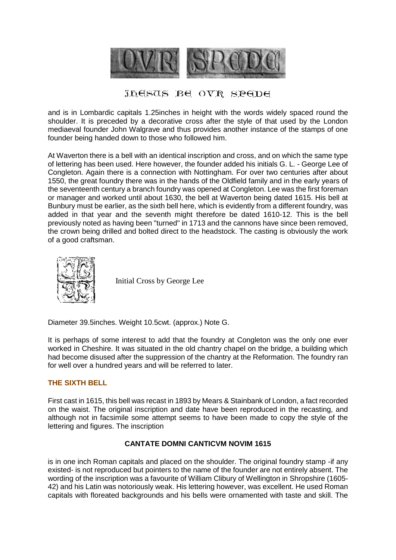

# JEESUS BE OVR SPEDE

and is in Lombardic capitals 1.25inches in height with the words widely spaced round the shoulder. It is preceded by a decorative cross after the style of that used by the London mediaeval founder John Walgrave and thus provides another instance of the stamps of one founder being handed down to those who followed him.

At Waverton there is a bell with an identical inscription and cross, and on which the same type of lettering has been used. Here however, the founder added his initials G. L. - George Lee of Congleton. Again there is a connection with Nottingham. For over two centuries after about 1550, the great foundry there was in the hands of the Oldfield family and in the early years of the seventeenth century a branch foundry was opened at Congleton. Lee was the first foreman or manager and worked until about 1630, the bell at Waverton being dated 1615. His bell at Bunbury must be earlier, as the sixth bell here, which is evidently from a different foundry, was added in that year and the seventh might therefore be dated 1610-12. This is the bell previously noted as having been "turned" in 1713 and the cannons have since been removed, the crown being drilled and bolted direct to the headstock. The casting is obviously the work of a good craftsman.



Initial Cross by George Lee

Diameter 39.5inches. Weight 10.5cwt. (approx.) Note G.

It is perhaps of some interest to add that the foundry at Congleton was the only one ever worked in Cheshire. It was situated in the old chantry chapel on the bridge, a building which had become disused after the suppression of the chantry at the Reformation. The foundry ran for well over a hundred years and will be referred to later.

## **THE SIXTH BELL**

First cast in 1615, this bell was recast in 1893 by Mears & Stainbank of London, a fact recorded on the waist. The original inscription and date have been reproduced in the recasting, and although not in facsimile some attempt seems to have been made to copy the style of the lettering and figures. The inscription

## **CANTATE DOMNI CANTICVM NOVIM 1615**

is in one inch Roman capitals and placed on the shoulder. The original foundry stamp -if any existed- is not reproduced but pointers to the name of the founder are not entirely absent. The wording of the inscription was a favourite of William Clibury of Wellington in Shropshire (1605- 42) and his Latin was notoriously weak. His lettering however, was excellent. He used Roman capitals with floreated backgrounds and his bells were ornamented with taste and skill. The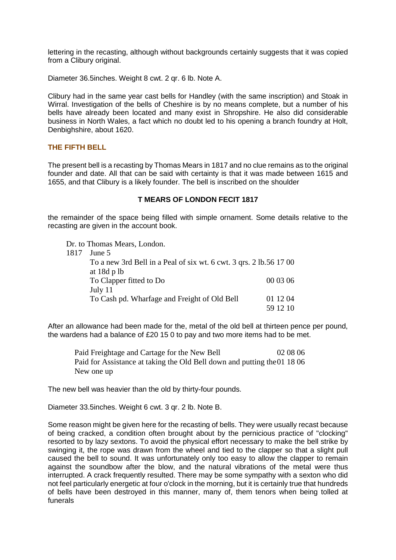lettering in the recasting, although without backgrounds certainly suggests that it was copied from a Clibury original.

Diameter 36.5inches. Weight 8 cwt. 2 qr. 6 lb. Note A.

Clibury had in the same year cast bells for Handley (with the same inscription) and Stoak in Wirral. Investigation of the bells of Cheshire is by no means complete, but a number of his bells have already been located and many exist in Shropshire. He also did considerable business in North Wales, a fact which no doubt led to his opening a branch foundry at Holt, Denbighshire, about 1620.

## **THE FIFTH BELL**

The present bell is a recasting by Thomas Mears in 1817 and no clue remains as to the original founder and date. All that can be said with certainty is that it was made between 1615 and 1655, and that Clibury is a likely founder. The bell is inscribed on the shoulder

## **T MEARS OF LONDON FECIT 1817**

the remainder of the space being filled with simple ornament. Some details relative to the recasting are given in the account book.

Dr. to Thomas Mears, London.

1817 June 5

| Julie J                                                            |          |
|--------------------------------------------------------------------|----------|
| To a new 3rd Bell in a Peal of six wt. 6 cwt. 3 qrs. 2 lb.56 17 00 |          |
| at $18d$ p lb                                                      |          |
| To Clapper fitted to Do                                            | 00 03 06 |
| July 11                                                            |          |
| To Cash pd. Wharfage and Freight of Old Bell                       | 01 12 04 |
|                                                                    | 59 12 10 |

After an allowance had been made for the, metal of the old bell at thirteen pence per pound, the wardens had a balance of £20 15 0 to pay and two more items had to be met.

Paid Freightage and Cartage for the New Bell 02 08 06 Paid for Assistance at taking the Old Bell down and putting the 01 18 06 New one up

The new bell was heavier than the old by thirty-four pounds.

Diameter 33.5inches. Weight 6 cwt. 3 qr. 2 lb. Note B.

Some reason might be given here for the recasting of bells. They were usually recast because of being cracked, a condition often brought about by the pernicious practice of "clocking" resorted to by lazy sextons. To avoid the physical effort necessary to make the bell strike by swinging it, the rope was drawn from the wheel and tied to the clapper so that a slight pull caused the bell to sound. It was unfortunately only too easy to allow the clapper to remain against the soundbow after the blow, and the natural vibrations of the metal were thus interrupted. A crack frequently resulted. There may be some sympathy with a sexton who did not feel particularly energetic at four o'clock in the morning, but it is certainly true that hundreds of bells have been destroyed in this manner, many of, them tenors when being tolled at funerals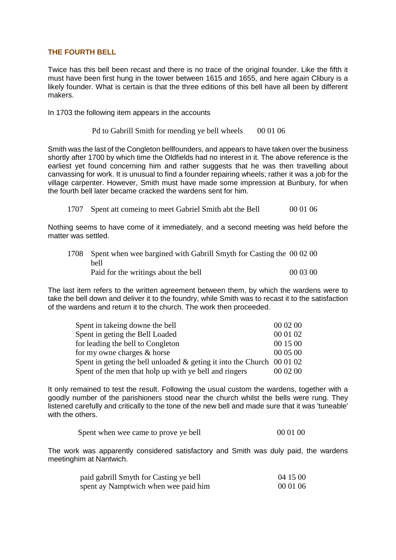## **THE FOURTH BELL**

Twice has this bell been recast and there is no trace of the original founder. Like the fifth it must have been first hung in the tower between 1615 and 1655, and here again Clibury is a likely founder. What is certain is that the three editions of this bell have all been by different makers.

In 1703 the following item appears in the accounts

Pd to Gabrill Smith for mending ye bell wheels 00 01 06

Smith was the last of the Congleton bellfounders, and appears to have taken over the business shortly after 1700 by which time the Oldfields had no interest in it. The above reference is the earliest yet found concerning him and rather suggests that he was then travelling about canvassing for work. It is unusual to find a founder repairing wheels; rather it was a job for the village carpenter. However, Smith must have made some impression at Bunbury, for when the fourth bell later became cracked the wardens sent for him.

1707 Spent att comeing to meet Gabriel Smith abt the Bell 00 01 06

Nothing seems to have come of it immediately, and a second meeting was held before the matter was settled.

| 1708 Spent when wee bargined with Gabrill Smyth for Casting the 00 02 00 |          |
|--------------------------------------------------------------------------|----------|
| bell                                                                     |          |
| Paid for the writings about the bell                                     | 00 03 00 |

The last item refers to the written agreement between them, by which the wardens were to take the bell down and deliver it to the foundry, while Smith was to recast it to the satisfaction of the wardens and return it to the church. The work then proceeded.

| Spent in takeing downe the bell                                           | 00 02 00 |
|---------------------------------------------------------------------------|----------|
| Spent in geting the Bell Loaded                                           | 00 01 02 |
| for leading the bell to Congleton                                         | 00 15 00 |
| for my owne charges & horse                                               | 00 05 00 |
| Spent in geting the bell unloaded $\&$ geting it into the Church 00 01 02 |          |
| Spent of the men that holp up with ye bell and ringers                    | 00 02 00 |

It only remained to test the result. Following the usual custom the wardens, together with a goodly number of the parishioners stood near the church whilst the bells were rung. They listened carefully and critically to the tone of the new bell and made sure that it was 'tuneable' with the others.

| Spent when wee came to prove ye bell |  | 00 01 00 |
|--------------------------------------|--|----------|
|--------------------------------------|--|----------|

The work was apparently considered satisfactory and Smith was duly paid, the wardens meetinghim at Nantwich.

| paid gabrill Smyth for Casting ye bell | 04 15 00 |
|----------------------------------------|----------|
| spent ay Namptwich when wee paid him   | 00 01 06 |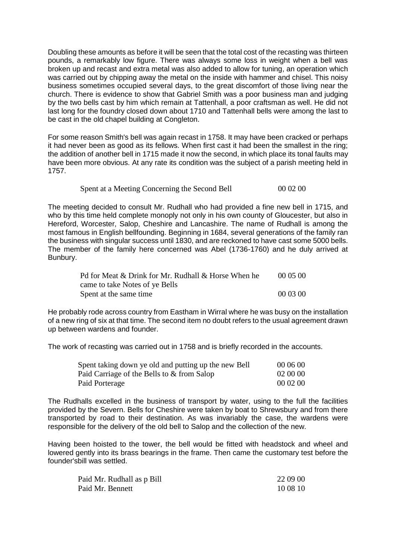Doubling these amounts as before it will be seen that the total cost of the recasting was thirteen pounds, a remarkably low figure. There was always some loss in weight when a bell was broken up and recast and extra metal was also added to allow for tuning, an operation which was carried out by chipping away the metal on the inside with hammer and chisel. This noisy business sometimes occupied several days, to the great discomfort of those living near the church. There is evidence to show that Gabriel Smith was a poor business man and judging by the two bells cast by him which remain at Tattenhall, a poor craftsman as well. He did not last long for the foundry closed down about 1710 and Tattenhall bells were among the last to be cast in the old chapel building at Congleton.

For some reason Smith's bell was again recast in 1758. It may have been cracked or perhaps it had never been as good as its fellows. When first cast it had been the smallest in the ring; the addition of another bell in 1715 made it now the second, in which place its tonal faults may have been more obvious. At any rate its condition was the subject of a parish meeting held in 1757.

## Spent at a Meeting Concerning the Second Bell 00 02 00

The meeting decided to consult Mr. Rudhall who had provided a fine new bell in 1715, and who by this time held complete monoply not only in his own county of Gloucester, but also in Hereford, Worcester, Salop, Cheshire and Lancashire. The name of Rudhall is among the most famous in English bellfounding. Beginning in 1684, several generations of the family ran the business with singular success until 1830, and are reckoned to have cast some 5000 bells. The member of the family here concerned was Abel (1736-1760) and he duly arrived at Bunbury.

| Pd for Meat & Drink for Mr. Rudhall & Horse When he | 000500   |
|-----------------------------------------------------|----------|
| came to take Notes of ye Bells                      |          |
| Spent at the same time                              | 00 03 00 |

He probably rode across country from Eastham in Wirral where he was busy on the installation of a new ring of six at that time. The second item no doubt refers to the usual agreement drawn up between wardens and founder.

The work of recasting was carried out in 1758 and is briefly recorded in the accounts.

| Spent taking down ye old and putting up the new Bell | 00 06 00 |
|------------------------------------------------------|----------|
| Paid Carriage of the Bells to & from Salop           | 02 00 00 |
| Paid Porterage                                       | 00 02 00 |

The Rudhalls excelled in the business of transport by water, using to the full the facilities provided by the Severn. Bells for Cheshire were taken by boat to Shrewsbury and from there transported by road to their destination. As was invariably the case, the wardens were responsible for the delivery of the old bell to Salop and the collection of the new.

Having been hoisted to the tower, the bell would be fitted with headstock and wheel and lowered gently into its brass bearings in the frame. Then came the customary test before the founder'sbill was settled.

| Paid Mr. Rudhall as p Bill | 22 09 00 |
|----------------------------|----------|
| Paid Mr. Bennett           | 10 08 10 |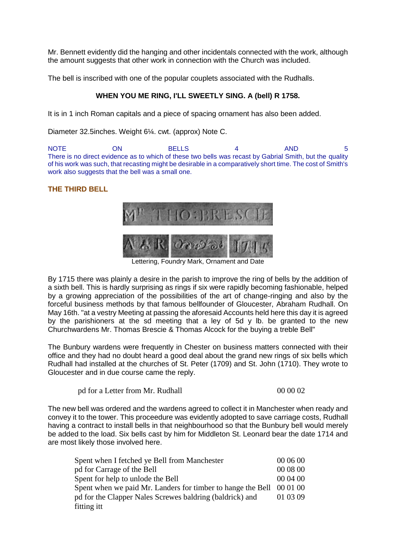Mr. Bennett evidently did the hanging and other incidentals connected with the work, although the amount suggests that other work in connection with the Church was included.

The bell is inscribed with one of the popular couplets associated with the Rudhalls.

# **WHEN YOU ME RING, I'LL SWEETLY SING. A (bell) R 1758.**

It is in 1 inch Roman capitals and a piece of spacing ornament has also been added.

Diameter 32.5inches. Weight 6¼. cwt. (approx) Note C.

NOTE ON BELLS 4 AND 5 There is no direct evidence as to which of these two bells was recast by Gabrial Smith, but the quality of his work was such, that recasting might be desirable in a comparatively short time. The cost of Smith's work also suggests that the bell was a small one.

# **THE THIRD BELL**



Lettering, Foundry Mark, Ornament and Date

By 1715 there was plainly a desire in the parish to improve the ring of bells by the addition of a sixth bell. This is hardly surprising as rings if six were rapidly becoming fashionable, helped by a growing appreciation of the possibilities of the art of change-ringing and also by the forceful business methods by that famous bellfounder of Gloucester, Abraham Rudhall. On May 16th. "at a vestry Meeting at passing the aforesaid Accounts held here this day it is agreed by the parishioners at the sd meeting that a ley of 5d y lb. be granted to the new Churchwardens Mr. Thomas Brescie & Thomas Alcock for the buying a treble Bell"

The Bunbury wardens were frequently in Chester on business matters connected with their office and they had no doubt heard a good deal about the grand new rings of six bells which Rudhall had installed at the churches of St. Peter (1709) and St. John (1710). They wrote to Gloucester and in due course came the reply.

pd for a Letter from Mr. Rudhall 00 00 02

The new bell was ordered and the wardens agreed to collect it in Manchester when ready and convey it to the tower. This proceedure was evidently adopted to save carriage costs, Rudhall having a contract to install bells in that neighbourhood so that the Bunbury bell would merely be added to the load. Six bells cast by him for Middleton St. Leonard bear the date 1714 and are most likely those involved here.

| Spent when I fetched ye Bell from Manchester                | 00 06 00 |
|-------------------------------------------------------------|----------|
| pd for Carrage of the Bell                                  | 00 08 00 |
| Spent for help to unlode the Bell                           | 00 04 00 |
| Spent when we paid Mr. Landers for timber to hange the Bell | 00 01 00 |
| pd for the Clapper Nales Screwes baldring (baldrick) and    | 01 03 09 |
| fitting itt                                                 |          |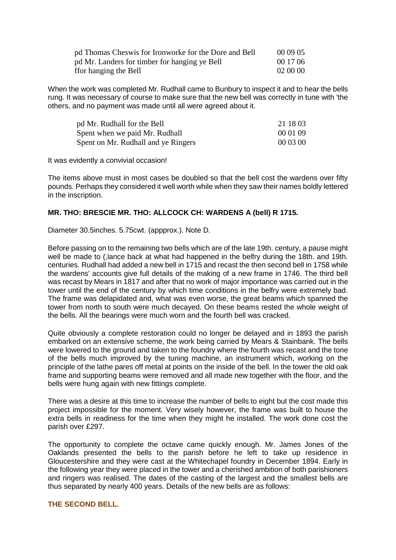| pd Thomas Cheswis for Ironworke for the Dore and Bell | 00 09 05 |
|-------------------------------------------------------|----------|
| pd Mr. Landers for timber for hanging ye Bell         | 00 17 06 |
| ffor hanging the Bell                                 | 02 00 00 |

When the work was completed Mr. Rudhall came to Bunbury to inspect it and to hear the bells rung. It was necessary of course to make sure that the new bell was correctly in tune with 'the others, and no payment was made until all were agreed about it.

| pd Mr. Rudhall for the Bell         | 21 18 03 |
|-------------------------------------|----------|
| Spent when we paid Mr. Rudhall      | 00 01 09 |
| Spent on Mr. Rudhall and ye Ringers | 00 03 00 |

It was evidently a convivial occasion!

The items above must in most cases be doubled so that the bell cost the wardens over fifty pounds. Perhaps they considered it well worth while when they saw their names boldly lettered in the inscription.

## **MR. THO: BRESCIE MR. THO: ALLCOCK CH: WARDENS A (bell) R 1715.**

Diameter 30.5inches. 5.75cwt. (appprox.). Note D.

Before passing on to the remaining two bells which are of the late 19th. century, a pause might well be made to (,lance back at what had happened in the belfry during the 18th. and 19th. centuries. Rudhall had added a new bell in 1715 and recast the then second bell in 1758 while the wardens' accounts give full details of the making of a new frame in 1746. The third bell was recast by Mears in 1817 and after that no work of major importance was carried out in the tower until the end of the century by which time conditions in the belfry were extremely bad. The frame was delapidated and, what was even worse, the great beams which spanned the tower from north to south were much decayed. On these beams rested the whole weight of the bells. All the bearings were much worn and the fourth bell was cracked.

Quite obviously a complete restoration could no longer be delayed and in 1893 the parish embarked on an extensive scheme, the work being carried by Mears & Stainbank. The bells were lowered to the ground and taken to the foundry where the fourth was recast and the tone of the bells much improved by the tuning machine, an instrument which, working on the principle of the lathe pares off metal at points on the inside of the bell. In the tower the old oak frame and supporting beams were removed and all made new together with the floor, and the bells were hung again with new fittings complete.

There was a desire at this time to increase the number of bells to eight but the cost made this project impossible for the moment. Very wisely however, the frame was built to house the extra bells in readiness for the time when they might he installed. The work done cost the parish over £297.

The opportunity to complete the octave came quickly enough. Mr. James Jones of the Oaklands presented the bells to the parish before he left to take up residence in Gloucestershire and they were cast at the Whitechapel foundry in December 1894. Early in the following year they were placed in the tower and a cherished ambition of both parishioners and ringers was realised. The dates of the casting of the largest and the smallest bells are thus separated by nearly 400 years. Details of the new bells are as follows:

#### **THE SECOND BELL.**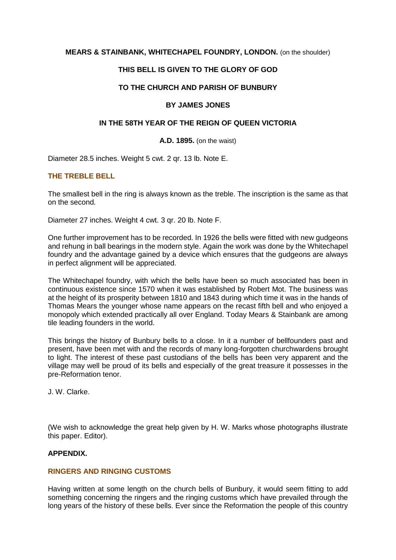## **MEARS & STAINBANK, WHITECHAPEL FOUNDRY, LONDON.** (on the shoulder)

## **THIS BELL IS GIVEN TO THE GLORY OF GOD**

## **TO THE CHURCH AND PARISH OF BUNBURY**

#### **BY JAMES JONES**

## **IN THE 58TH YEAR OF THE REIGN OF QUEEN VICTORIA**

#### **A.D. 1895.** (on the waist)

Diameter 28.5 inches. Weight 5 cwt. 2 qr. 13 lb. Note E.

## **THE TREBLE BELL**

The smallest bell in the ring is always known as the treble. The inscription is the same as that on the second.

Diameter 27 inches. Weight 4 cwt. 3 qr. 20 lb. Note F.

One further improvement has to be recorded. In 1926 the bells were fitted with new gudgeons and rehung in ball bearings in the modern style. Again the work was done by the Whitechapel foundry and the advantage gained by a device which ensures that the gudgeons are always in perfect alignment will be appreciated.

The Whitechapel foundry, with which the bells have been so much associated has been in continuous existence since 1570 when it was established by Robert Mot. The business was at the height of its prosperity between 1810 and 1843 during which time it was in the hands of Thomas Mears the younger whose name appears on the recast fifth bell and who enjoyed a monopoly which extended practically all over England. Today Mears & Stainbank are among tile leading founders in the world.

This brings the history of Bunbury bells to a close. In it a number of bellfounders past and present, have been met with and the records of many long-forgotten churchwardens brought to light. The interest of these past custodians of the bells has been very apparent and the village may well be proud of its bells and especially of the great treasure it possesses in the pre-Reformation tenor.

J. W. Clarke.

(We wish to acknowledge the great help given by H. W. Marks whose photographs illustrate this paper. Editor).

#### **APPENDIX.**

#### **RINGERS AND RINGING CUSTOMS**

Having written at some length on the church bells of Bunbury, it would seem fitting to add something concerning the ringers and the ringing customs which have prevailed through the long years of the history of these bells. Ever since the Reformation the people of this country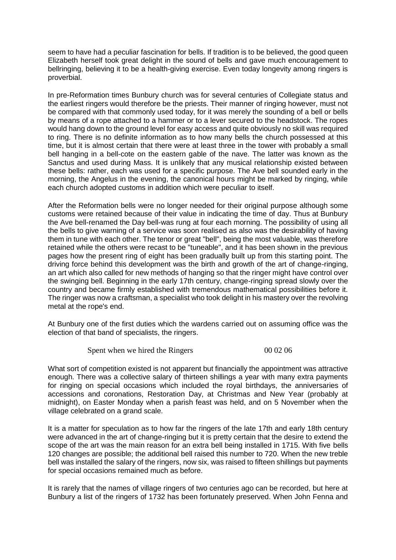seem to have had a peculiar fascination for bells. If tradition is to be believed, the good queen Elizabeth herself took great delight in the sound of bells and gave much encouragement to bellringing, believing it to be a health-giving exercise. Even today longevity among ringers is proverbial.

In pre-Reformation times Bunbury church was for several centuries of Collegiate status and the earliest ringers would therefore be the priests. Their manner of ringing however, must not be compared with that commonly used today, for it was merely the sounding of a bell or bells by means of a rope attached to a hammer or to a lever secured to the headstock. The ropes would hang down to the ground level for easy access and quite obviously no skill was required to ring. There is no definite information as to how many bells the church possessed at this time, but it is almost certain that there were at least three in the tower with probably a small bell hanging in a bell-cote on the eastern gable of the nave. The latter was known as the Sanctus and used during Mass. It is unlikely that any musical relationship existed between these bells: rather, each was used for a specific purpose. The Ave bell sounded early in the morning, the Angelus in the evening, the canonical hours might be marked by ringing, while each church adopted customs in addition which were peculiar to itself.

After the Reformation bells were no longer needed for their original purpose although some customs were retained because of their value in indicating the time of day. Thus at Bunbury the Ave bell-renamed the Day bell-was rung at four each morning. The possibility of using all the bells to give warning of a service was soon realised as also was the desirability of having them in tune with each other. The tenor or great "bell", being the most valuable, was therefore retained while the others were recast to be "tuneable", and it has been shown in the previous pages how the present ring of eight has been gradually built up from this starting point. The driving force behind this development was the birth and growth of the art of change-ringing, an art which also called for new methods of hanging so that the ringer might have control over the swinging bell. Beginning in the early 17th century, change-ringing spread slowly over the country and became firmly established with tremendous mathematical possibilities before it. The ringer was now a craftsman, a specialist who took delight in his mastery over the revolving metal at the rope's end.

At Bunbury one of the first duties which the wardens carried out on assuming office was the election of that band of specialists, the ringers.

Spent when we hired the Ringers 00 02 06

What sort of competition existed is not apparent but financially the appointment was attractive enough. There was a collective salary of thirteen shillings a year with many extra payments for ringing on special occasions which included the royal birthdays, the anniversaries of accessions and coronations, Restoration Day, at Christmas and New Year (probably at midnight), on Easter Monday when a parish feast was held, and on 5 November when the village celebrated on a grand scale.

It is a matter for speculation as to how far the ringers of the late 17th and early 18th century were advanced in the art of change-ringing but it is pretty certain that the desire to extend the scope of the art was the main reason for an extra bell being installed in 1715. With five bells 120 changes are possible; the additional bell raised this number to 720. When the new treble bell was installed the salary of the ringers, now six, was raised to fifteen shillings but payments for special occasions remained much as before.

It is rarely that the names of village ringers of two centuries ago can be recorded, but here at Bunbury a list of the ringers of 1732 has been fortunately preserved. When John Fenna and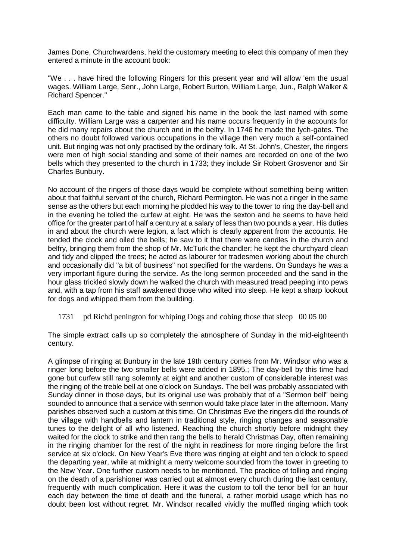James Done, Churchwardens, held the customary meeting to elect this company of men they entered a minute in the account book:

"We . . . have hired the following Ringers for this present year and will allow 'em the usual wages. William Large, Senr., John Large, Robert Burton, William Large, Jun., Ralph Walker & Richard Spencer."

Each man came to the table and signed his name in the book the last named with some difficulty. William Large was a carpenter and his name occurs frequently in the accounts for he did many repairs about the church and in the belfry. In 1746 he made the lych-gates. The others no doubt followed various occupations in the village then very much a self-contained unit. But ringing was not only practised by the ordinary folk. At St. John's, Chester, the ringers were men of high social standing and some of their names are recorded on one of the two bells which they presented to the church in 1733; they include Sir Robert Grosvenor and Sir Charles Bunbury.

No account of the ringers of those days would be complete without something being written about that faithful servant of the church, Richard Permington. He was not a ringer in the same sense as the others but each morning he plodded his way to the tower to ring the day-bell and in the evening he tolled the curfew at eight. He was the sexton and he seems to have held office for the greater part of half a century at a salary of less than two pounds a year. His duties in and about the church were legion, a fact which is clearly apparent from the accounts. He tended the clock and oiled the bells; he saw to it that there were candles in the church and belfry, bringing them from the shop of Mr. McTurk the chandler; he kept the churchyard clean and tidy and clipped the trees; he acted as labourer for tradesmen working about the church and occasionally did "a bit of business" not specified for the wardens. On Sundays he was a very important figure during the service. As the long sermon proceeded and the sand in the hour glass trickled slowly down he walked the church with measured tread peeping into pews and, with a tap from his staff awakened those who wilted into sleep. He kept a sharp lookout for dogs and whipped them from the building.

1731 pd Richd penington for whiping Dogs and cobing those that sleep 00 05 00

The simple extract calls up so completely the atmosphere of Sunday in the mid-eighteenth century.

A glimpse of ringing at Bunbury in the late 19th century comes from Mr. Windsor who was a ringer long before the two smaller bells were added in 1895.; The day-bell by this time had gone but curfew still rang solemnly at eight and another custom of considerable interest was the ringing of the treble bell at one o'clock on Sundays. The bell was probably associated with Sunday dinner in those days, but its original use was probably that of a "Sermon bell" being sounded to announce that a service with sermon would take place later in the afternoon. Many parishes observed such a custom at this time. On Christmas Eve the ringers did the rounds of the village with handbells and lantern in traditional style, ringing changes and seasonable tunes to the delight of all who listened. Reaching the church shortly before midnight they waited for the clock to strike and then rang the bells to herald Christmas Day, often remaining in the ringing chamber for the rest of the night in readiness for more ringing before the first service at six o'clock. On New Year's Eve there was ringing at eight and ten o'clock to speed the departing year, while at midnight a merry welcome sounded from the tower in greeting to the New Year. One further custom needs to be mentioned. The practice of tolling and ringing on the death of a parishioner was carried out at almost every church during the last century, frequently with much complication. Here it was the custom to toll the tenor bell for an hour each day between the time of death and the funeral, a rather morbid usage which has no doubt been lost without regret. Mr. Windsor recalled vividly the muffled ringing which took